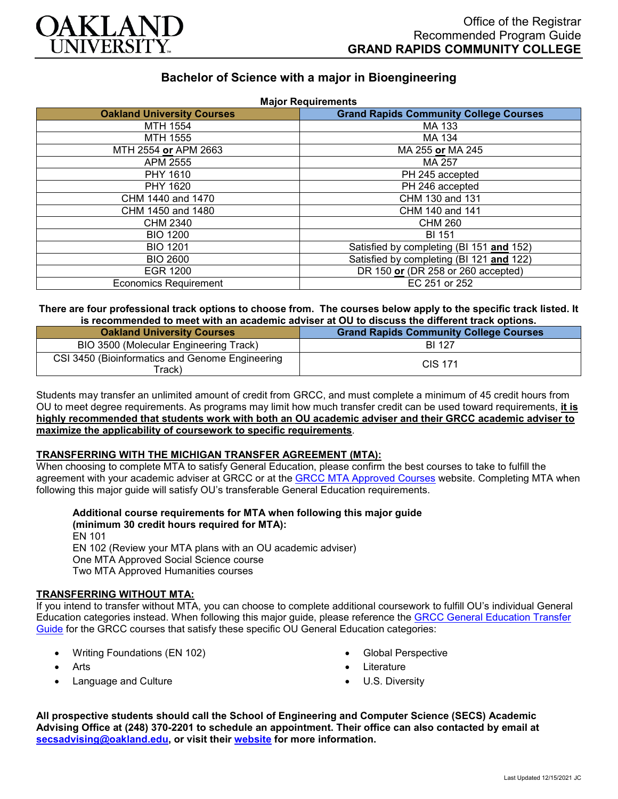

# **Bachelor of Science with a major in Bioengineering**

| <b>Major Requirements</b>         |                                               |
|-----------------------------------|-----------------------------------------------|
| <b>Oakland University Courses</b> | <b>Grand Rapids Community College Courses</b> |
| MTH 1554                          | MA 133                                        |
| MTH 1555                          | MA 134                                        |
| MTH 2554 or APM 2663              | MA 255 or MA 245                              |
| APM 2555                          | MA 257                                        |
| PHY 1610                          | PH 245 accepted                               |
| PHY 1620                          | PH 246 accepted                               |
| CHM 1440 and 1470                 | CHM 130 and 131                               |
| CHM 1450 and 1480                 | CHM 140 and 141                               |
| CHM 2340                          | <b>CHM 260</b>                                |
| <b>BIO 1200</b>                   | <b>BI 151</b>                                 |
| <b>BIO 1201</b>                   | Satisfied by completing (BI 151 and 152)      |
| <b>BIO 2600</b>                   | Satisfied by completing (BI 121 and 122)      |
| EGR 1200                          | DR 150 or (DR 258 or 260 accepted)            |
| <b>Economics Requirement</b>      | EC 251 or 252                                 |

#### **There are four professional track options to choose from. The courses below apply to the specific track listed. It is recommended to meet with an academic adviser at OU to discuss the different track options.**

| <b>Oakland University Courses</b>                         | <b>Grand Rapids Community College Courses</b> |
|-----------------------------------------------------------|-----------------------------------------------|
| BIO 3500 (Molecular Engineering Track)                    | <b>BI 127</b>                                 |
| CSI 3450 (Bioinformatics and Genome Engineering<br>ˈrack) | CIS 171                                       |

Students may transfer an unlimited amount of credit from GRCC, and must complete a minimum of 45 credit hours from OU to meet degree requirements. As programs may limit how much transfer credit can be used toward requirements, **it is highly recommended that students work with both an OU academic adviser and their GRCC academic adviser to maximize the applicability of coursework to specific requirements**.

## **TRANSFERRING WITH THE MICHIGAN TRANSFER AGREEMENT (MTA):**

When choosing to complete MTA to satisfy General Education, please confirm the best courses to take to fulfill the agreement with your academic adviser at GRCC or at the [GRCC MTA Approved Courses](https://catalog.grcc.edu/content.php?catoid=47&navoid=3607) website. Completing MTA when following this major guide will satisfy OU's transferable General Education requirements.

#### **Additional course requirements for MTA when following this major guide (minimum 30 credit hours required for MTA):**

EN 101 EN 102 (Review your MTA plans with an OU academic adviser) One MTA Approved Social Science course Two MTA Approved Humanities courses

#### **TRANSFERRING WITHOUT MTA:**

If you intend to transfer without MTA, you can choose to complete additional coursework to fulfill OU's individual General Education categories instead. When following this major guide, please reference the [GRCC General Education Transfer](https://www.oakland.edu/Assets/Oakland/program-guides/grand-rapids-community-college/university-general-education-requirements/Grand%20Rapids%20Gen%20Ed.pdf)  [Guide](https://www.oakland.edu/Assets/Oakland/program-guides/grand-rapids-community-college/university-general-education-requirements/Grand%20Rapids%20Gen%20Ed.pdf) for the GRCC courses that satisfy these specific OU General Education categories:

- Writing Foundations (EN 102)
- **Arts**
- Language and Culture
- Global Perspective
- **Literature**
- U.S. Diversity

**All prospective students should call the School of Engineering and Computer Science (SECS) Academic Advising Office at (248) 370-2201 to schedule an appointment. Their office can also contacted by email at [secsadvising@oakland.edu,](mailto:secsadvising@oakland.edu) or visit their [website](https://wwwp.oakland.edu/secs/advising/) for more information.**